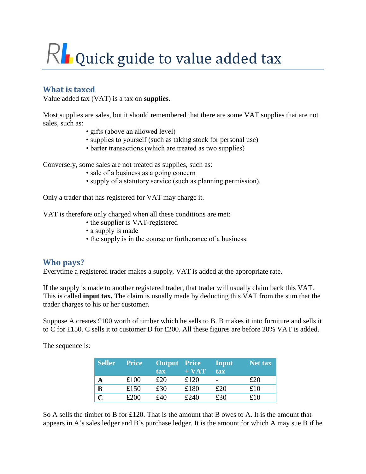# $R$  Quick guide to value added tax

# **What is taxed**

Value added tax (VAT) is a tax on **supplies**.

Most supplies are sales, but it should remembered that there are some VAT supplies that are not sales, such as:

- gifts (above an allowed level)
- supplies to yourself (such as taking stock for personal use)
- barter transactions (which are treated as two supplies)

Conversely, some sales are not treated as supplies, such as:

- sale of a business as a going concern
- supply of a statutory service (such as planning permission).

Only a trader that has registered for VAT may charge it.

VAT is therefore only charged when all these conditions are met:

- the supplier is VAT-registered
- a supply is made
- the supply is in the course or furtherance of a business.

# **Who pays?**

Everytime a registered trader makes a supply, VAT is added at the appropriate rate.

If the supply is made to another registered trader, that trader will usually claim back this VAT. This is called **input tax.** The claim is usually made by deducting this VAT from the sum that the trader charges to his or her customer.

Suppose A creates £100 worth of timber which he sells to B. B makes it into furniture and sells it to C for £150. C sells it to customer D for £200. All these figures are before 20% VAT is added.

The sequence is:

| <b>Seller</b> | <b>Price</b> | Output Price |         | Input | $\sqrt{2}$ Net tax |
|---------------|--------------|--------------|---------|-------|--------------------|
|               |              | tax          | $+ VAT$ | tax   |                    |
| A             | £100         | £20          | £120    |       | £20                |
| B             | £150         | £30          | £180    | £20   | £10                |
|               | £200         | £40          | £240    | £30   | f10                |

So A sells the timber to B for £120. That is the amount that B owes to A. It is the amount that appears in A's sales ledger and B's purchase ledger. It is the amount for which A may sue B if he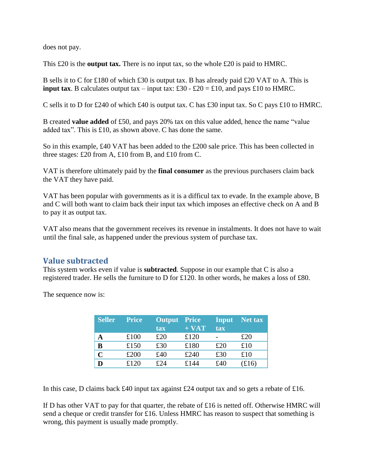does not pay.

This £20 is the **output tax.** There is no input tax, so the whole £20 is paid to HMRC.

B sells it to C for £180 of which £30 is output tax. B has already paid £20 VAT to A. This is **input tax**. B calculates output tax – input tax: £30 - £20 = £10, and pays £10 to HMRC.

C sells it to D for £240 of which £40 is output tax. C has £30 input tax. So C pays £10 to HMRC.

B created **value added** of £50, and pays 20% tax on this value added, hence the name "value added tax". This is £10, as shown above. C has done the same.

So in this example, £40 VAT has been added to the £200 sale price. This has been collected in three stages: £20 from A, £10 from B, and £10 from C.

VAT is therefore ultimately paid by the **final consumer** as the previous purchasers claim back the VAT they have paid.

VAT has been popular with governments as it is a difficul tax to evade. In the example above, B and C will both want to claim back their input tax which imposes an effective check on A and B to pay it as output tax.

VAT also means that the government receives its revenue in instalments. It does not have to wait until the final sale, as happened under the previous system of purchase tax.

# **Value subtracted**

This system works even if value is **subtracted**. Suppose in our example that C is also a registered trader. He sells the furniture to D for £120. In other words, he makes a loss of £80.

The sequence now is:

| <b>Seller</b> | <b>Price</b> | <b>Output</b> Price<br><b>tax</b> | $+ VAT$ | Input<br><b>tax</b> | Net tax |
|---------------|--------------|-----------------------------------|---------|---------------------|---------|
| A             | £100         | £20                               | £120    |                     | £20     |
| B             | £150         | £30                               | £180    | £20                 | £10     |
| $\mathbf C$   | £200         | £40                               | £240    | £30                 | £10     |
|               | £120         | f24                               | £144    | £40                 | f(16)   |

In this case, D claims back £40 input tax against £24 output tax and so gets a rebate of £16.

If D has other VAT to pay for that quarter, the rebate of £16 is netted off. Otherwise HMRC will send a cheque or credit transfer for £16. Unless HMRC has reason to suspect that something is wrong, this payment is usually made promptly.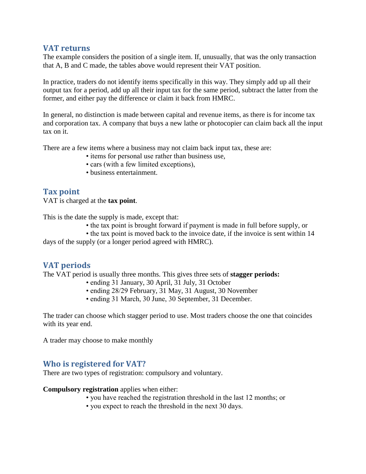### **VAT returns**

The example considers the position of a single item. If, unusually, that was the only transaction that A, B and C made, the tables above would represent their VAT position.

In practice, traders do not identify items specifically in this way. They simply add up all their output tax for a period, add up all their input tax for the same period, subtract the latter from the former, and either pay the difference or claim it back from HMRC.

In general, no distinction is made between capital and revenue items, as there is for income tax and corporation tax. A company that buys a new lathe or photocopier can claim back all the input tax on it.

There are a few items where a business may not claim back input tax, these are:

- items for personal use rather than business use,
- cars (with a few limited exceptions),
- business entertainment.

# **Tax point**

VAT is charged at the **tax point**.

This is the date the supply is made, except that:

• the tax point is brought forward if payment is made in full before supply, or

• the tax point is moved back to the invoice date, if the invoice is sent within 14 days of the supply (or a longer period agreed with HMRC).

# **VAT periods**

The VAT period is usually three months. This gives three sets of **stagger periods:**

- ending 31 January, 30 April, 31 July, 31 October
- ending 28/29 February, 31 May, 31 August, 30 November
- ending 31 March, 30 June, 30 September, 31 December.

The trader can choose which stagger period to use. Most traders choose the one that coincides with its year end.

A trader may choose to make monthly

## **Who is registered for VAT?**

There are two types of registration: compulsory and voluntary.

**Compulsory registration** applies when either:

- you have reached the registration threshold in the last 12 months; or
- you expect to reach the threshold in the next 30 days.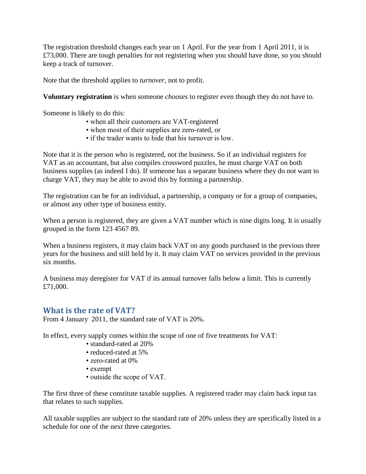The registration threshold changes each year on 1 April. For the year from 1 April 2011, it is £73,000. There are tough penalties for not registering when you should have done, so you should keep a track of turnover.

Note that the threshold applies to *turnover*, not to profit.

**Voluntary registration** is when someone *chooses* to register even though they do not have to.

Someone is likely to do this:

- when all their customers are VAT-registered
- when most of their supplies are zero-rated, or
- if the trader wants to hide that his turnover is low.

Note that it is the person who is registered, not the business. So if an individual registers for VAT as an accountant, but also compiles crossword puzzles, he must charge VAT on both business supplies (as indeed I do). If someone has a separate business where they do not want to charge VAT, they may be able to avoid this by forming a partnership.

The registration can be for an individual, a partnership, a company or for a group of companies, or almost any other type of business entity.

When a person is registered, they are given a VAT number which is nine digits long. It is usually grouped in the form 123 4567 89.

When a business registers, it may claim back VAT on any goods purchased in the previous three years for the business and still held by it. It may claim VAT on services provided in the previous six months.

A business may deregister for VAT if its annual turnover falls below a limit. This is currently £71,000.

## **What is the rate of VAT?**

From 4 January 2011, the standard rate of VAT is 20%.

In effect, every supply comes within the scope of one of five treatments for VAT:

- standard-rated at 20%
- reduced-rated at 5%
- zero-rated at 0%
- exempt
- outside the scope of VAT.

The first three of these constitute taxable supplies. A registered trader may claim back input tax that relates to such supplies.

All taxable supplies are subject to the standard rate of 20% unless they are specifically listed in a schedule for one of the next three categories.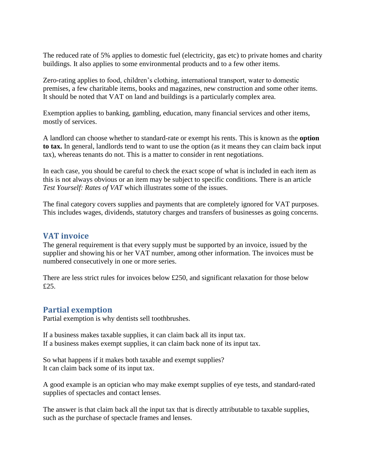The reduced rate of 5% applies to domestic fuel (electricity, gas etc) to private homes and charity buildings. It also applies to some environmental products and to a few other items.

Zero-rating applies to food, children's clothing, international transport, water to domestic premises, a few charitable items, books and magazines, new construction and some other items. It should be noted that VAT on land and buildings is a particularly complex area.

Exemption applies to banking, gambling, education, many financial services and other items, mostly of services.

A landlord can choose whether to standard-rate or exempt his rents. This is known as the **option to tax.** In general, landlords tend to want to use the option (as it means they can claim back input tax), whereas tenants do not. This is a matter to consider in rent negotiations.

In each case, you should be careful to check the exact scope of what is included in each item as this is not always obvious or an item may be subject to specific conditions. There is an article *Test Yourself: Rates of VAT* which illustrates some of the issues.

The final category covers supplies and payments that are completely ignored for VAT purposes. This includes wages, dividends, statutory charges and transfers of businesses as going concerns.

#### **VAT invoice**

The general requirement is that every supply must be supported by an invoice, issued by the supplier and showing his or her VAT number, among other information. The invoices must be numbered consecutively in one or more series.

There are less strict rules for invoices below £250, and significant relaxation for those below £25.

## **Partial exemption**

Partial exemption is why dentists sell toothbrushes.

If a business makes taxable supplies, it can claim back all its input tax. If a business makes exempt supplies, it can claim back none of its input tax.

So what happens if it makes both taxable and exempt supplies? It can claim back some of its input tax.

A good example is an optician who may make exempt supplies of eye tests, and standard-rated supplies of spectacles and contact lenses.

The answer is that claim back all the input tax that is directly attributable to taxable supplies, such as the purchase of spectacle frames and lenses.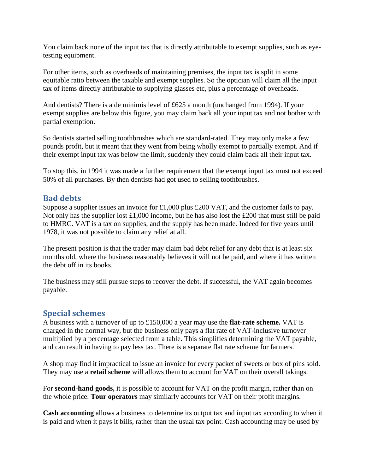You claim back none of the input tax that is directly attributable to exempt supplies, such as eyetesting equipment.

For other items, such as overheads of maintaining premises, the input tax is split in some equitable ratio between the taxable and exempt supplies. So the optician will claim all the input tax of items directly attributable to supplying glasses etc, plus a percentage of overheads.

And dentists? There is a de minimis level of £625 a month (unchanged from 1994). If your exempt supplies are below this figure, you may claim back all your input tax and not bother with partial exemption.

So dentists started selling toothbrushes which are standard-rated. They may only make a few pounds profit, but it meant that they went from being wholly exempt to partially exempt. And if their exempt input tax was below the limit, suddenly they could claim back all their input tax.

To stop this, in 1994 it was made a further requirement that the exempt input tax must not exceed 50% of all purchases. By then dentists had got used to selling toothbrushes.

## **Bad debts**

Suppose a supplier issues an invoice for £1,000 plus £200 VAT, and the customer fails to pay. Not only has the supplier lost  $\pounds1,000$  income, but he has also lost the  $\pounds200$  that must still be paid to HMRC. VAT is a tax on supplies, and the supply has been made. Indeed for five years until 1978, it was not possible to claim any relief at all.

The present position is that the trader may claim bad debt relief for any debt that is at least six months old, where the business reasonably believes it will not be paid, and where it has written the debt off in its books.

The business may still pursue steps to recover the debt. If successful, the VAT again becomes payable.

# **Special schemes**

A business with a turnover of up to £150,000 a year may use the **flat-rate scheme.** VAT is charged in the normal way, but the business only pays a flat rate of VAT-inclusive turnover multiplied by a percentage selected from a table. This simplifies determining the VAT payable, and can result in having to pay less tax. There is a separate flat rate scheme for farmers.

A shop may find it impractical to issue an invoice for every packet of sweets or box of pins sold. They may use a **retail scheme** will allows them to account for VAT on their overall takings.

For **second-hand goods,** it is possible to account for VAT on the profit margin, rather than on the whole price. **Tour operators** may similarly accounts for VAT on their profit margins.

**Cash accounting** allows a business to determine its output tax and input tax according to when it is paid and when it pays it bills, rather than the usual tax point. Cash accounting may be used by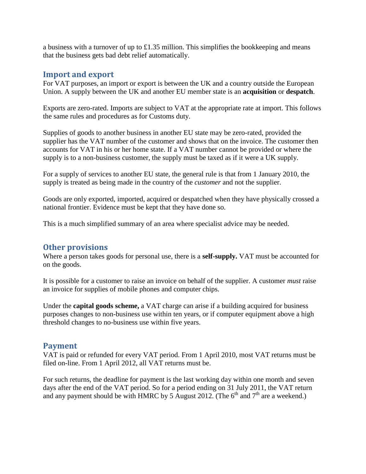a business with a turnover of up to £1.35 million. This simplifies the bookkeeping and means that the business gets bad debt relief automatically.

## **Import and export**

For VAT purposes, an import or export is between the UK and a country outside the European Union. A supply between the UK and another EU member state is an **acquisition** or **despatch**.

Exports are zero-rated. Imports are subject to VAT at the appropriate rate at import. This follows the same rules and procedures as for Customs duty.

Supplies of goods to another business in another EU state may be zero-rated, provided the supplier has the VAT number of the customer and shows that on the invoice. The customer then accounts for VAT in his or her home state. If a VAT number cannot be provided or where the supply is to a non-business customer, the supply must be taxed as if it were a UK supply.

For a supply of services to another EU state, the general rule is that from 1 January 2010, the supply is treated as being made in the country of the *customer* and not the supplier.

Goods are only exported, imported, acquired or despatched when they have physically crossed a national frontier. Evidence must be kept that they have done so.

This is a much simplified summary of an area where specialist advice may be needed.

## **Other provisions**

Where a person takes goods for personal use, there is a **self-supply.** VAT must be accounted for on the goods.

It is possible for a customer to raise an invoice on behalf of the supplier. A customer *must* raise an invoice for supplies of mobile phones and computer chips.

Under the **capital goods scheme,** a VAT charge can arise if a building acquired for business purposes changes to non-business use within ten years, or if computer equipment above a high threshold changes to no-business use within five years.

## **Payment**

VAT is paid or refunded for every VAT period. From 1 April 2010, most VAT returns must be filed on-line. From 1 April 2012, all VAT returns must be.

For such returns, the deadline for payment is the last working day within one month and seven days after the end of the VAT period. So for a period ending on 31 July 2011, the VAT return and any payment should be with HMRC by 5 August 2012. (The  $6<sup>th</sup>$  and  $7<sup>th</sup>$  are a weekend.)